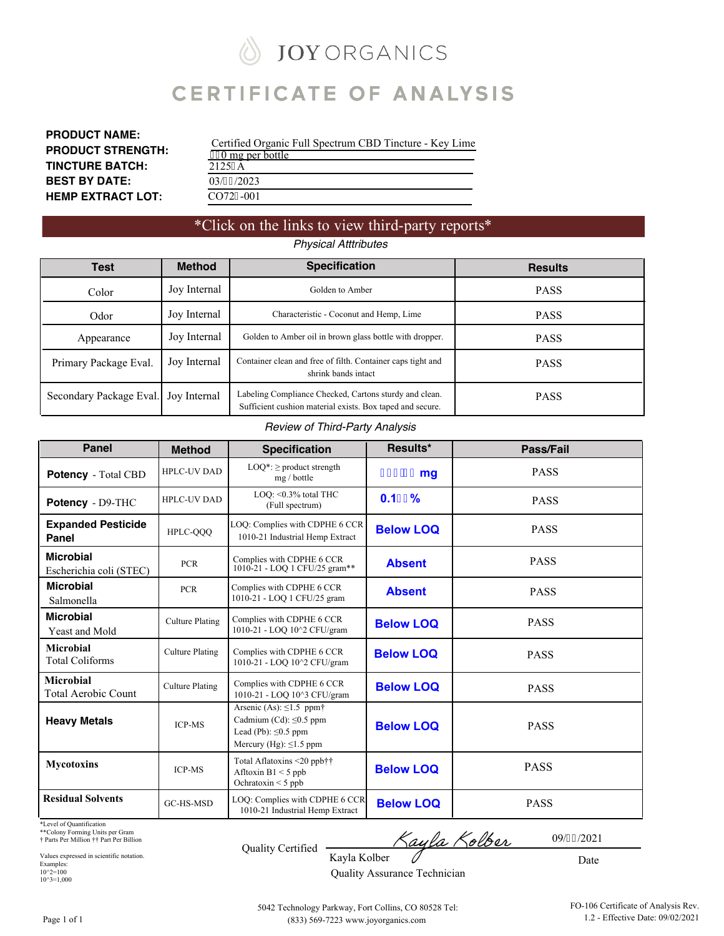# **JOY ORGANICS**

# **CERTIFICATE OF ANALYSIS**

| <b>PRODUCT NAME:</b>     |
|--------------------------|
| <b>PRODUCT STRENGTH:</b> |
| <b>TINCTURE BATCH:</b>   |
| <b>BEST BY DATE:</b>     |
| <b>HEMP EXTRACT LOT:</b> |

Certified Organic Full Spectrum CBD Tincture - Key Lime  $\frac{1}{20}$  mg per bottle [2125](#page-3-0)A 03/32/2023 [CO72](#page-1-0)9-001

### \*Click on the links to view third-party reports\* *Physical Atttributes*

| Test                    | <b>Method</b> | <b>Specification</b>                                                                                                | <b>Results</b> |
|-------------------------|---------------|---------------------------------------------------------------------------------------------------------------------|----------------|
| Color                   | Joy Internal  | Golden to Amber                                                                                                     | <b>PASS</b>    |
| Odor                    | Joy Internal  | Characteristic - Coconut and Hemp, Lime                                                                             | <b>PASS</b>    |
| Appearance              | Joy Internal  | Golden to Amber oil in brown glass bottle with dropper.                                                             | <b>PASS</b>    |
| Primary Package Eval.   | Joy Internal  | Container clean and free of filth. Container caps tight and<br>shrink bands intact                                  | <b>PASS</b>    |
| Secondary Package Eval. | Joy Internal  | Labeling Compliance Checked, Cartons sturdy and clean.<br>Sufficient cushion material exists. Box taped and secure. | <b>PASS</b>    |

#### *Review of Third-Party Analysis*

| <b>Panel</b>                                   | <b>Method</b>          | <b>Specification</b>                                                                                                                   | Results*         | Pass/Fail   |
|------------------------------------------------|------------------------|----------------------------------------------------------------------------------------------------------------------------------------|------------------|-------------|
| Potency - Total CBD                            | <b>HPLC-UV DAD</b>     | $LOQ^*$ : $\geq$ product strength<br>mg / bottle                                                                                       | -*' * & mg       | <b>PASS</b> |
| Potency - D9-THC                               | <b>HPLC-UV DAD</b>     | LOO: < 0.3% total THC<br>(Full spectrum)                                                                                               | $0.1$ \$'%       | <b>PASS</b> |
| <b>Expanded Pesticide</b><br>Panel             | HPLC-OOO               | LOQ: Complies with CDPHE 6 CCR<br>1010-21 Industrial Hemp Extract                                                                      | <b>Below LOQ</b> | <b>PASS</b> |
| <b>Microbial</b><br>Escherichia coli (STEC)    | <b>PCR</b>             | Complies with CDPHE 6 CCR<br>1010-21 - LOO 1 CFU/25 gram**                                                                             | <b>Absent</b>    | <b>PASS</b> |
| <b>Microbial</b><br>Salmonella                 | <b>PCR</b>             | Complies with CDPHE 6 CCR<br>1010-21 - LOQ 1 CFU/25 gram                                                                               | <b>Absent</b>    | <b>PASS</b> |
| <b>Microbial</b><br>Yeast and Mold             | <b>Culture Plating</b> | Complies with CDPHE 6 CCR<br>1010-21 - LOQ 10^2 CFU/gram                                                                               | <b>Below LOQ</b> | <b>PASS</b> |
| Microbial<br><b>Total Coliforms</b>            | <b>Culture Plating</b> | Complies with CDPHE 6 CCR<br>1010-21 - LOO 10^2 CFU/gram                                                                               | <b>Below LOO</b> | <b>PASS</b> |
| <b>Microbial</b><br><b>Total Aerobic Count</b> | <b>Culture Plating</b> | Complies with CDPHE 6 CCR<br>1010-21 - LOO 10^3 CFU/gram                                                                               | <b>Below LOQ</b> | <b>PASS</b> |
| <b>Heavy Metals</b>                            | <b>ICP-MS</b>          | Arsenic (As): $\leq$ 1.5 ppm <sup>+</sup><br>Cadmium (Cd): $\leq 0.5$ ppm<br>Lead (Pb): $\leq 0.5$ ppm<br>Mercury (Hg): $\leq$ 1.5 ppm | <b>Below LOQ</b> | <b>PASS</b> |
| <b>Mycotoxins</b>                              | <b>ICP-MS</b>          | Total Aflatoxins <20 ppb††<br>Afltoxin $B1 < 5$ ppb<br>Ochratoxin $\leq$ 5 ppb                                                         | <b>Below LOQ</b> | <b>PASS</b> |
| <b>Residual Solvents</b>                       | GC-HS-MSD              | LOQ: Complies with CDPHE 6 CCR<br>1010-21 Industrial Hemp Extract                                                                      | <b>Below LOQ</b> | <b>PASS</b> |

\*Level of Quantification

\*\*Colony Forming Units per Gram † Parts Per Million †† Part Per Billion

Values expressed in scientific notation. Examples: 10^2=100 10^3=1,000

| <b>Quality Certified</b> |  |
|--------------------------|--|

Kayla Kolber 0

Date

09/42/2021

Kayla Kolber Quality Assurance Technician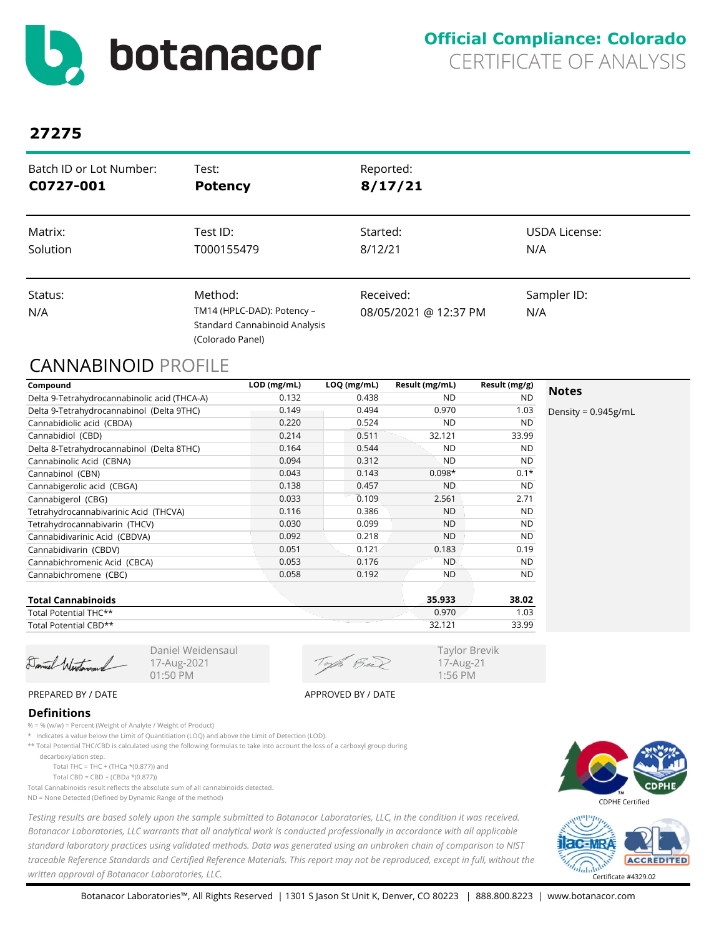<span id="page-1-0"></span>

| Batch ID or Lot Number: | Test:                                                                                      | Reported:                          |                    |
|-------------------------|--------------------------------------------------------------------------------------------|------------------------------------|--------------------|
| C0727-001               | <b>Potency</b>                                                                             | 8/17/21                            |                    |
| Matrix:                 | Test ID:                                                                                   | Started:                           | USDA License:      |
| Solution                | T000155479                                                                                 | 8/12/21                            | N/A                |
| Status:<br>N/A          | Method:<br>TM14 (HPLC-DAD): Potency -<br>Standard Cannabinoid Analysis<br>(Colorado Panel) | Received:<br>08/05/2021 @ 12:37 PM | Sampler ID:<br>N/A |

### CANNABINOID PROFILE

| Compound                                     | LOD (mg/mL) | LOQ (mg/mL) | Result (mg/mL) | Result (mg/g) |                        |
|----------------------------------------------|-------------|-------------|----------------|---------------|------------------------|
| Delta 9-Tetrahydrocannabinolic acid (THCA-A) | 0.132       | 0.438       | ND.            | <b>ND</b>     | <b>Notes</b>           |
| Delta 9-Tetrahydrocannabinol (Delta 9THC)    | 0.149       | 0.494       | 0.970          | 1.03          | Density = $0.945$ g/mL |
| Cannabidiolic acid (CBDA)                    | 0.220       | 0.524       | <b>ND</b>      | <b>ND</b>     |                        |
| Cannabidiol (CBD)                            | 0.214       | 0.511       | 32.121         | 33.99         |                        |
| Delta 8-Tetrahydrocannabinol (Delta 8THC)    | 0.164       | 0.544       | <b>ND</b>      | <b>ND</b>     |                        |
| Cannabinolic Acid (CBNA)                     | 0.094       | 0.312       | <b>ND</b>      | <b>ND</b>     |                        |
| Cannabinol (CBN)                             | 0.043       | 0.143       | $0.098*$       | $0.1*$        |                        |
| Cannabigerolic acid (CBGA)                   | 0.138       | 0.457       | <b>ND</b>      | <b>ND</b>     |                        |
| Cannabigerol (CBG)                           | 0.033       | 0.109       | 2.561          | 2.71          |                        |
| Tetrahydrocannabivarinic Acid (THCVA)        | 0.116       | 0.386       | <b>ND</b>      | <b>ND</b>     |                        |
| Tetrahydrocannabivarin (THCV)                | 0.030       | 0.099       | <b>ND</b>      | <b>ND</b>     |                        |
| Cannabidivarinic Acid (CBDVA)                | 0.092       | 0.218       | <b>ND</b>      | <b>ND</b>     |                        |
| Cannabidivarin (CBDV)                        | 0.051       | 0.121       | 0.183          | 0.19          |                        |
| Cannabichromenic Acid (CBCA)                 | 0.053       | 0.176       | <b>ND</b>      | <b>ND</b>     |                        |
| Cannabichromene (CBC)                        | 0.058       | 0.192       | <b>ND</b>      | <b>ND</b>     |                        |
| <b>Total Cannabinoids</b>                    |             |             | 35.933         | 38.02         |                        |
| Total Potential THC**                        |             |             | 0.970          | 1.03          |                        |

Total Potential THC\*\* Total Potential CBD\*\*

Damiel Werstenson

Daniel Weidensaul 17-Aug-2021 01:50 PM

of Bül

32.121 33.99

Taylor Brevik 17-Aug-21 1:56 PM

PREPARED BY / DATE APPROVED BY / DATE

#### **Definitions**

% = % (w/w) = Percent (Weight of Analyte / Weight of Product)

\* Indicates a value below the Limit of Quantitiation (LOQ) and above the Limit of Detection (LOD).

\*\* Total Potential THC/CBD is calculated using the following formulas to take into account the loss of a carboxyl group during

 decarboxylation step. Total THC = THC + (THCa  $*(0.877)$ ) and

Total CBD = CBD + (CBDa \*(0.877))

Total Cannabinoids result reflects the absolute sum of all cannabinoids detected.

ND = None Detected (Defined by Dynamic Range of the method)

*Testing results are based solely upon the sample submitted to Botanacor Laboratories, LLC, in the condition it was received. Botanacor Laboratories, LLC warrants that all analytical work is conducted professionally in accordance with all applicable standard laboratory practices using validated methods. Data was generated using an unbroken chain of comparison to NIST traceable Reference Standards and Certified Reference Materials. This report may not be reproduced, except in full, without the written approval of Botanacor Laboratories, LLC.* Certificate #4329.02



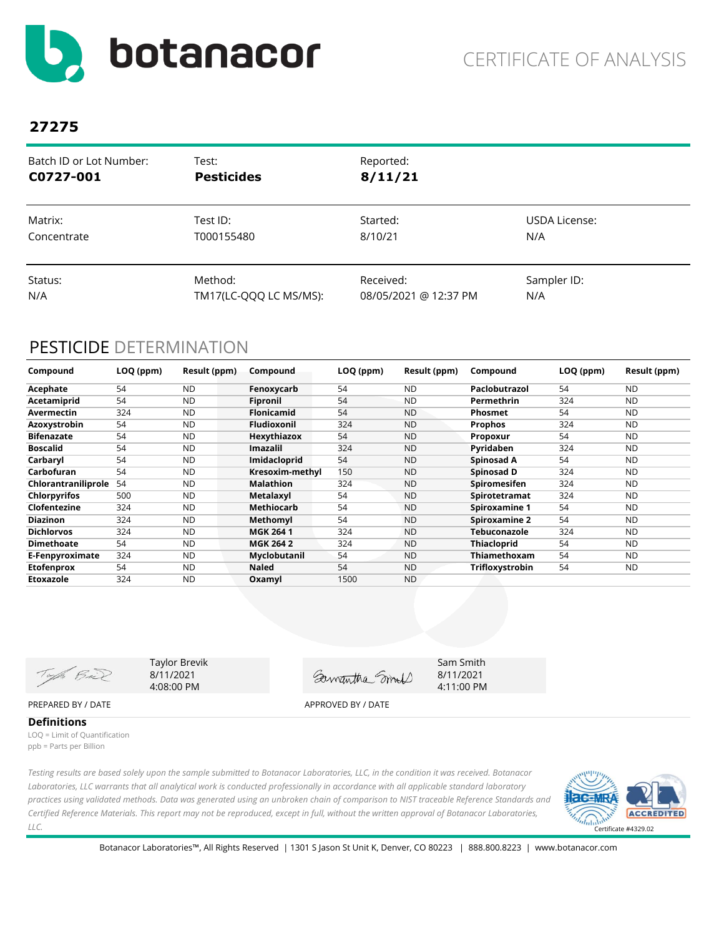<span id="page-2-0"></span>

| Batch ID or Lot Number: | Test:                  | Reported:             |               |
|-------------------------|------------------------|-----------------------|---------------|
| C0727-001               | <b>Pesticides</b>      | 8/11/21               |               |
| Matrix:                 | Test ID:               | Started:              | USDA License: |
| Concentrate             | T000155480             | 8/10/21               | N/A           |
| Status:                 | Method:                | Received:             | Sampler ID:   |
| N/A                     | TM17(LC-QQQ LC MS/MS): | 08/05/2021 @ 12:37 PM | N/A           |

### PESTICIDE DETERMINATION

| Compound            | LOQ (ppm) | Result (ppm) | Compound           | LOQ (ppm) | Result (ppm) | Compound             | LOQ (ppm) | Result (ppm) |
|---------------------|-----------|--------------|--------------------|-----------|--------------|----------------------|-----------|--------------|
| Acephate            | 54        | <b>ND</b>    | Fenoxycarb         | 54        | <b>ND</b>    | Paclobutrazol        | 54        | <b>ND</b>    |
| Acetamiprid         | 54        | <b>ND</b>    | <b>Fipronil</b>    | 54        | <b>ND</b>    | Permethrin           | 324       | <b>ND</b>    |
| Avermectin          | 324       | <b>ND</b>    | <b>Flonicamid</b>  | 54        | <b>ND</b>    | <b>Phosmet</b>       | 54        | <b>ND</b>    |
| Azoxystrobin        | 54        | <b>ND</b>    | <b>Fludioxonil</b> | 324       | <b>ND</b>    | <b>Prophos</b>       | 324       | <b>ND</b>    |
| <b>Bifenazate</b>   | 54        | <b>ND</b>    | Hexythiazox        | 54        | <b>ND</b>    | Propoxur             | 54        | <b>ND</b>    |
| <b>Boscalid</b>     | 54        | <b>ND</b>    | <b>Imazalil</b>    | 324       | <b>ND</b>    | Pyridaben            | 324       | <b>ND</b>    |
| Carbaryl            | 54        | <b>ND</b>    | Imidacloprid       | 54        | <b>ND</b>    | Spinosad A           | 54        | <b>ND</b>    |
| Carbofuran          | 54        | <b>ND</b>    | Kresoxim-methyl    | 150       | <b>ND</b>    | Spinosad D           | 324       | <b>ND</b>    |
| Chlorantraniliprole | 54        | <b>ND</b>    | <b>Malathion</b>   | 324       | <b>ND</b>    | <b>Spiromesifen</b>  | 324       | <b>ND</b>    |
| <b>Chlorpyrifos</b> | 500       | <b>ND</b>    | Metalaxyl          | 54        | <b>ND</b>    | Spirotetramat        | 324       | <b>ND</b>    |
| Clofentezine        | 324       | <b>ND</b>    | Methiocarb         | 54        | <b>ND</b>    | <b>Spiroxamine 1</b> | 54        | <b>ND</b>    |
| <b>Diazinon</b>     | 324       | <b>ND</b>    | Methomyl           | 54        | <b>ND</b>    | <b>Spiroxamine 2</b> | 54        | <b>ND</b>    |
| <b>Dichlorvos</b>   | 324       | <b>ND</b>    | <b>MGK 2641</b>    | 324       | <b>ND</b>    | Tebuconazole         | 324       | <b>ND</b>    |
| <b>Dimethoate</b>   | 54        | <b>ND</b>    | <b>MGK 264 2</b>   | 324       | <b>ND</b>    | <b>Thiacloprid</b>   | 54        | <b>ND</b>    |
| E-Fenpyroximate     | 324       | <b>ND</b>    | Myclobutanil       | 54        | <b>ND</b>    | Thiamethoxam         | 54        | ND.          |
| <b>Etofenprox</b>   | 54        | <b>ND</b>    | <b>Naled</b>       | 54        | <b>ND</b>    | Trifloxystrobin      | 54        | ND           |
| Etoxazole           | 324       | <b>ND</b>    | Oxamyl             | 1500      | <b>ND</b>    |                      |           |              |

Taylor Brevik Sam Smith Toph Bail 8/11/2021 Gamantha Smort 8/11/2021 4:08:00 PM 4:11:00 PMPREPARED BY / DATE APPROVED BY / DATE

**Definitions** LOQ = Limit of Quantification ppb = Parts per Billion

*Testing results are based solely upon the sample submitted to Botanacor Laboratories, LLC, in the condition it was received. Botanacor Laboratories, LLC warrants that all analytical work is conducted professionally in accordance with all applicable standard laboratory practices using validated methods. Data was generated using an unbroken chain of comparison to NIST traceable Reference Standards and Certified Reference Materials. This report may not be reproduced, except in full, without the written approval of Botanacor Laboratories, LLC.* 

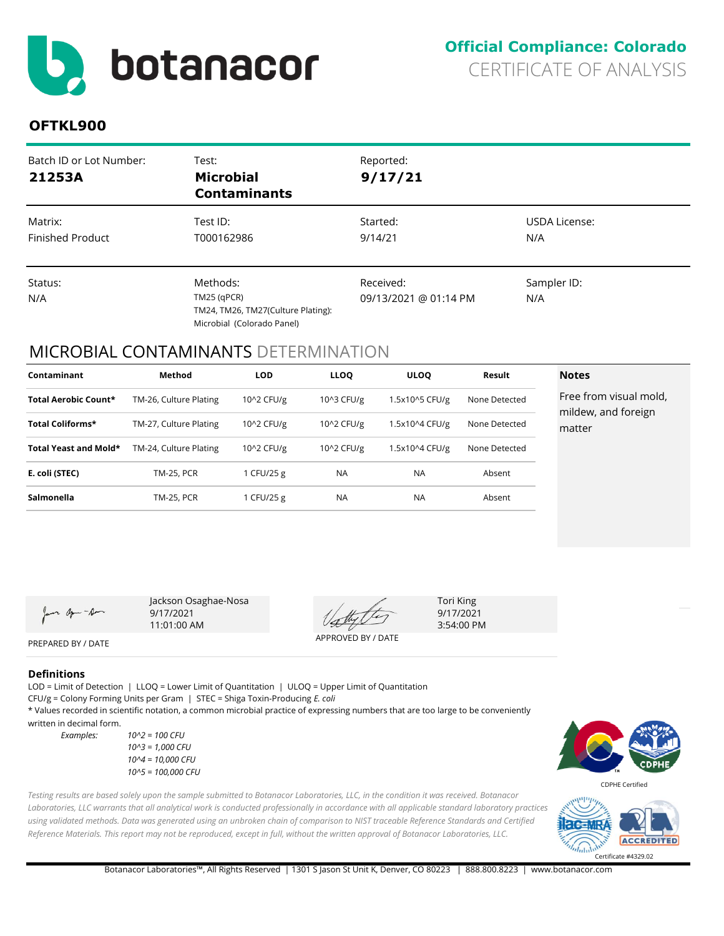<span id="page-3-0"></span>

### **OFTKL900**

| Batch ID or Lot Number:<br>21253A  | Test:<br><b>Microbial</b><br><b>Contaminants</b>                                              | Reported:<br>9/17/21               |                      |
|------------------------------------|-----------------------------------------------------------------------------------------------|------------------------------------|----------------------|
| Matrix:<br><b>Finished Product</b> | Test ID:<br>T000162986                                                                        | Started:<br>9/14/21                | USDA License:<br>N/A |
| Status:<br>N/A                     | Methods:<br>$TM25$ (qPCR)<br>TM24, TM26, TM27(Culture Plating):<br>Microbial (Colorado Panel) | Received:<br>09/13/2021 @ 01:14 PM | Sampler ID:<br>N/A   |

### MICROBIAL CONTAMINANTS DETERMINATION

| Contaminant           | Method                 | <b>LOD</b> | <b>LLOO</b> | <b>ULOO</b>    | Result        | <b>Notes</b>                                  |
|-----------------------|------------------------|------------|-------------|----------------|---------------|-----------------------------------------------|
| Total Aerobic Count*  | TM-26, Culture Plating | 10^2 CFU/g | 10^3 CFU/g  | 1.5x10^5 CFU/g | None Detected | Free from visual mold,<br>mildew, and foreign |
| Total Coliforms*      | TM-27, Culture Plating | 10^2 CFU/g | 10^2 CFU/g  | 1.5x10^4 CFU/g | None Detected | matter                                        |
| Total Yeast and Mold* | TM-24, Culture Plating | 10^2 CFU/g | 10^2 CFU/g  | 1.5x10^4 CFU/g | None Detected |                                               |
| E. coli (STEC)        | <b>TM-25, PCR</b>      | 1 CFU/25 g | <b>NA</b>   | <b>NA</b>      | Absent        |                                               |
| Salmonella            | <b>TM-25, PCR</b>      | 1 CFU/25 g | <b>NA</b>   | <b>NA</b>      | Absent        |                                               |

or agen-Am

Jackson Osaghae-Nosa 9/17/2021 11:01:00 AM

APPROVED BY / DATE

Tori King 9/17/2021 3:54:00 PM

PREPARED BY / DATE

#### **Definitions**

LOD = Limit of Detection | LLOQ = Lower Limit of Quantitation | ULOQ = Upper Limit of Quantitation

CFU/g = Colony Forming Units per Gram | STEC = Shiga Toxin-Producing *E. coli*

\* Values recorded in scientific notation, a common microbial practice of expressing numbers that are too large to be conveniently written in decimal form.

*Testing results are based solely upon the sample submitted to Botanacor Laboratories, LLC, in the condition it was received. Botanacor*  Laboratories, LLC warrants that all analytical work is conducted professionally in accordance with all applicable standard laboratory practices *using validated methods. Data was generated using an unbroken chain of comparison to NIST traceable Reference Standards and Certified Reference Materials. This report may not be reproduced, except in full, without the written approval of Botanacor Laboratories, LLC.* 

*Examples: 10^2 = 100 CFU 10^3 = 1,000 CFU 10^4 = 10,000 CFU 10^5 = 100,000 CFU*



CDPHE Certified

**ACCREDITED**  $d_{\rm nln}$ Certificate #4329.02

Botanacor Laboratories™, All Rights Reserved | 1301 S Jason St Unit K, Denver, CO 80223 | 888.800.8223 | www.botanacor.com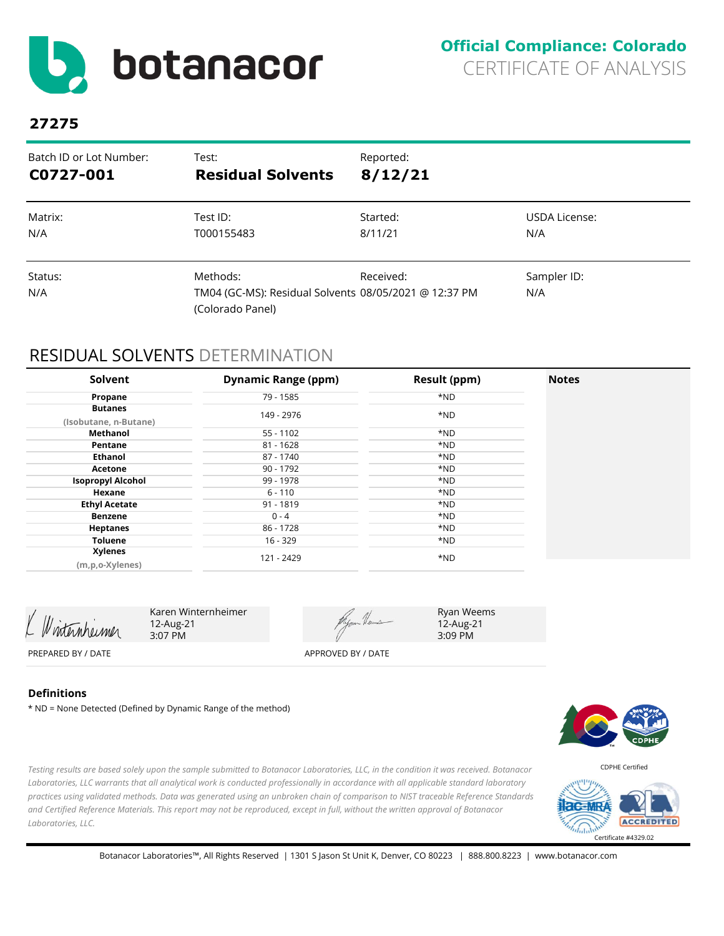<span id="page-4-0"></span>

| Batch ID or Lot Number: | Test:                                                                                 | Reported: |                    |
|-------------------------|---------------------------------------------------------------------------------------|-----------|--------------------|
| C0727-001               | <b>Residual Solvents</b>                                                              | 8/12/21   |                    |
| Matrix:                 | Test ID:                                                                              | Started:  | USDA License:      |
| N/A                     | T000155483                                                                            | 8/11/21   | N/A                |
| Status:<br>N/A          | Methods:<br>TM04 (GC-MS): Residual Solvents 08/05/2021 @ 12:37 PM<br>(Colorado Panel) | Received: | Sampler ID:<br>N/A |

### RESIDUAL SOLVENTS DETERMINATION

| Solvent                                 | <b>Dynamic Range (ppm)</b> | <b>Result (ppm)</b> | <b>Notes</b> |
|-----------------------------------------|----------------------------|---------------------|--------------|
| Propane                                 | 79 - 1585                  | *ND                 |              |
| <b>Butanes</b><br>(Isobutane, n-Butane) | 149 - 2976                 | *ND                 |              |
| Methanol                                | $55 - 1102$                | *ND                 |              |
| Pentane                                 | $81 - 1628$                | *ND                 |              |
| Ethanol                                 | 87 - 1740                  | *ND                 |              |
| Acetone                                 | 90 - 1792                  | *ND                 |              |
| <b>Isopropyl Alcohol</b>                | 99 - 1978                  | *ND                 |              |
| Hexane                                  | $6 - 110$                  | *ND                 |              |
| <b>Ethyl Acetate</b>                    | $91 - 1819$                | *ND                 |              |
| Benzene                                 | $0 - 4$                    | *ND                 |              |
| <b>Heptanes</b>                         | 86 - 1728                  | *ND                 |              |
| <b>Toluene</b>                          | 16 - 329                   | *ND                 |              |
| <b>Xylenes</b>                          | 121 - 2429                 | *ND                 |              |
| (m,p,o-Xylenes)                         |                            |                     |              |

Winternheimer

Karen Winternheimer 12-Aug-21 3:07 PM

Hyan Heus

Ryan Weems 12-Aug-21 3:09 PM

PREPARED BY / DATE APPROVED BY / DATE

#### **Definitions**

\* ND = None Detected (Defined by Dynamic Range of the method)



CDPHE Certified



*and Certified Reference Materials. This report may not be reproduced, except in full, without the written approval of Botanacor Laboratories, LLC.* 

*Testing results are based solely upon the sample submitted to Botanacor Laboratories, LLC, in the condition it was received. Botanacor Laboratories, LLC warrants that all analytical work is conducted professionally in accordance with all applicable standard laboratory practices using validated methods. Data was generated using an unbroken chain of comparison to NIST traceable Reference Standards*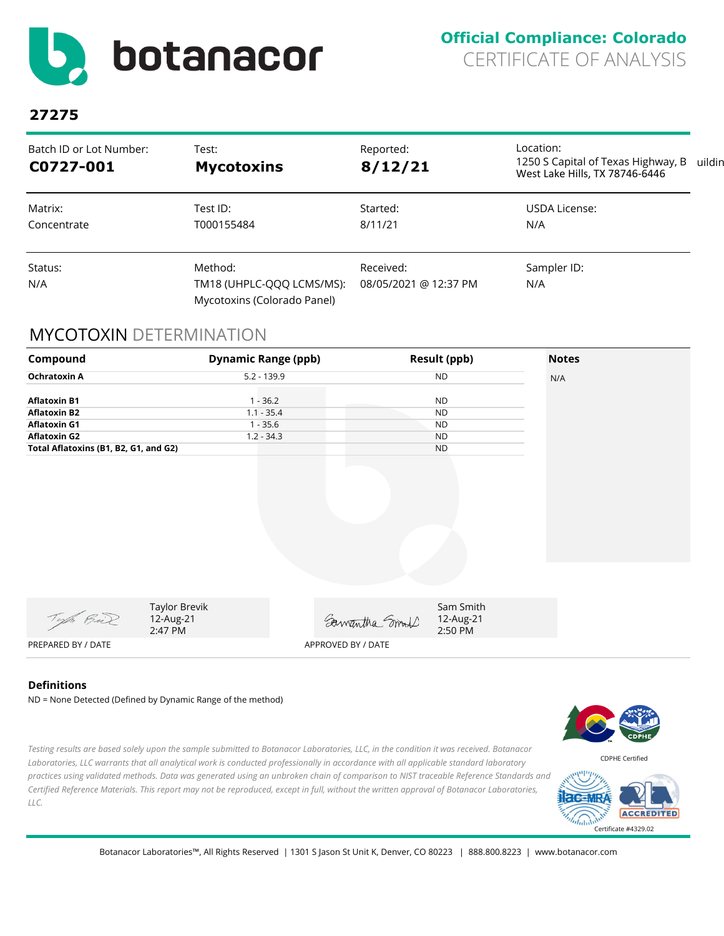<span id="page-5-0"></span>

### **Official Compliance: Colorado** CERTIFICATE OF ANALYSIS

## **27275**

| Batch ID or Lot Number:<br>C0727-001 | Test:<br><b>Mycotoxins</b>                                                                                | Reported:<br>8/12/21 | Location:<br>1250 S Capital of Texas Highway, B<br>West Lake Hills, TX 78746-6446 | uildin |
|--------------------------------------|-----------------------------------------------------------------------------------------------------------|----------------------|-----------------------------------------------------------------------------------|--------|
| Matrix:<br>Concentrate               | Test ID:<br>T000155484                                                                                    | Started:<br>8/11/21  | USDA License:<br>N/A                                                              |        |
| Status:<br>N/A                       | Method:<br>Received:<br>TM18 (UHPLC-QQQ LCMS/MS):<br>08/05/2021 @ 12:37 PM<br>Mycotoxins (Colorado Panel) |                      | Sampler ID:<br>N/A                                                                |        |

### MYCOTOXIN DETERMINATION



### **Definitions**

ND = None Detected (Defined by Dynamic Range of the method)

*Testing results are based solely upon the sample submitted to Botanacor Laboratories, LLC, in the condition it was received. Botanacor Laboratories, LLC warrants that all analytical work is conducted professionally in accordance with all applicable standard laboratory practices using validated methods. Data was generated using an unbroken chain of comparison to NIST traceable Reference Standards and Certified Reference Materials. This report may not be reproduced, except in full, without the written approval of Botanacor Laboratories, LLC.* 



CDPHE Certified